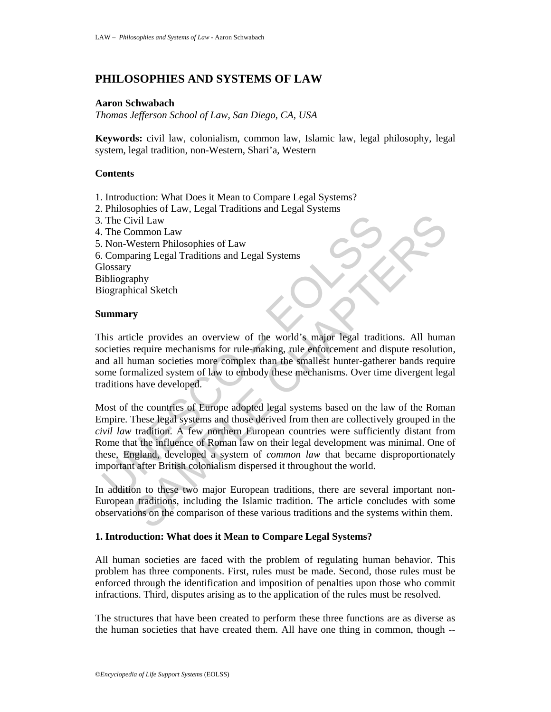# **PHILOSOPHIES AND SYSTEMS OF LAW**

# **Aaron Schwabach**

*Thomas Jefferson School of Law, San Diego, CA, USA*

**Keywords:** civil law, colonialism, common law, Islamic law, legal philosophy, legal system, legal tradition, non-Western, Shari'a, Western

# **Contents**

- 1. Introduction: What Does it Mean to Compare Legal Systems?
- 2. Philosophies of Law, Legal Traditions and Legal Systems
- 3. The Civil Law
- 4. The Common Law
- 5. Non-Western Philosophies of Law
- 6. Comparing Legal Traditions and Legal Systems **Glossary**

Bibliography

Biographical Sketch

## **Summary**

This article provides an overview of the world's major legal traditions. All human societies require mechanisms for rule-making, rule enforcement and dispute resolution, and all human societies more complex than the smallest hunter-gatherer bands require some formalized system of law to embody these mechanisms. Over time divergent legal traditions have developed.

The Civil Law<br>
Non-Western Philosophies of Law<br>
Non-Western Philosophies of Law<br>
Non-Western Philosophies of Law<br>
Iosyary<br>
iolography<br>
iographical Sketch<br> **ummary**<br>
his article provides an overview of the world's major leg Content Philosophies of Law<br>
Western Philosophies of Law<br>
Western Philosophies of Law<br>
Western Philosophies of Law<br>
aring Legal Traditions and Legal Systems<br>
phy<br>
phy<br>
phy<br>
cical Sketch<br>
Ty<br>
y<br>
cele provides an overview of Most of the countries of Europe adopted legal systems based on the law of the Roman Empire. These legal systems and those derived from then are collectively grouped in the *civil law* tradition. A few northern European countries were sufficiently distant from Rome that the influence of Roman law on their legal development was minimal. One of these, England, developed a system of *common law* that became disproportionately important after British colonialism dispersed it throughout the world.

In addition to these two major European traditions, there are several important non-European traditions, including the Islamic tradition. The article concludes with some observations on the comparison of these various traditions and the systems within them.

### **1. Introduction: What does it Mean to Compare Legal Systems?**

All human societies are faced with the problem of regulating human behavior. This problem has three components. First, rules must be made. Second, those rules must be enforced through the identification and imposition of penalties upon those who commit infractions. Third, disputes arising as to the application of the rules must be resolved.

The structures that have been created to perform these three functions are as diverse as the human societies that have created them. All have one thing in common, though --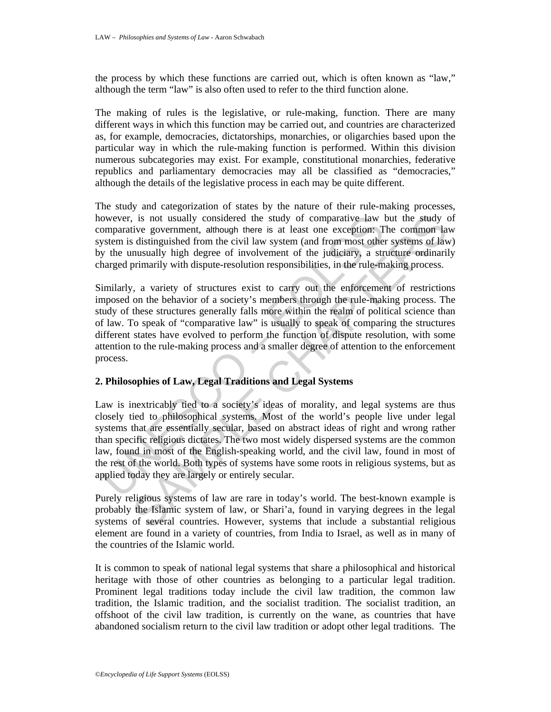the process by which these functions are carried out, which is often known as "law," although the term "law" is also often used to refer to the third function alone.

The making of rules is the legislative, or rule-making, function. There are many different ways in which this function may be carried out, and countries are characterized as, for example, democracies, dictatorships, monarchies, or oligarchies based upon the particular way in which the rule-making function is performed. Within this division numerous subcategories may exist. For example, constitutional monarchies, federative republics and parliamentary democracies may all be classified as "democracies," although the details of the legislative process in each may be quite different.

The study and categorization of states by the nature of their rule-making processes, however, is not usually considered the study of comparative law but the study of comparative government, although there is at least one exception: The common law system is distinguished from the civil law system (and from most other systems of law) by the unusually high degree of involvement of the judiciary, a structure ordinarily charged primarily with dispute-resolution responsibilities, in the rule-making process.

Similarly, a variety of structures exist to carry out the enforcement of restrictions imposed on the behavior of a society's members through the rule-making process. The study of these structures generally falls more within the realm of political science than of law. To speak of "comparative law" is usually to speak of comparing the structures different states have evolved to perform the function of dispute resolution, with some attention to the rule-making process and a smaller degree of attention to the enforcement process.

# **2. Philosophies of Law, Legal Traditions and Legal Systems**

owever, is not usually considered the study of comparative law lomparative government, although there is at least one exception: T<br>system is distinguished from the civil law system (and from most other<br>ystem is distinguish is is not usually considered the study of comparative law but the study cosvernment, athough there is at least one exception. The common lare distinguished from the civil law system (and from most other systems of law nus Law is inextricably tied to a society's ideas of morality, and legal systems are thus closely tied to philosophical systems. Most of the world's people live under legal systems that are essentially secular, based on abstract ideas of right and wrong rather than specific religious dictates. The two most widely dispersed systems are the common law, found in most of the English-speaking world, and the civil law, found in most of the rest of the world. Both types of systems have some roots in religious systems, but as applied today they are largely or entirely secular.

Purely religious systems of law are rare in today's world. The best-known example is probably the Islamic system of law, or Shari'a, found in varying degrees in the legal systems of several countries. However, systems that include a substantial religious element are found in a variety of countries, from India to Israel, as well as in many of the countries of the Islamic world.

It is common to speak of national legal systems that share a philosophical and historical heritage with those of other countries as belonging to a particular legal tradition. Prominent legal traditions today include the civil law tradition, the common law tradition, the Islamic tradition, and the socialist tradition. The socialist tradition, an offshoot of the civil law tradition, is currently on the wane, as countries that have abandoned socialism return to the civil law tradition or adopt other legal traditions. The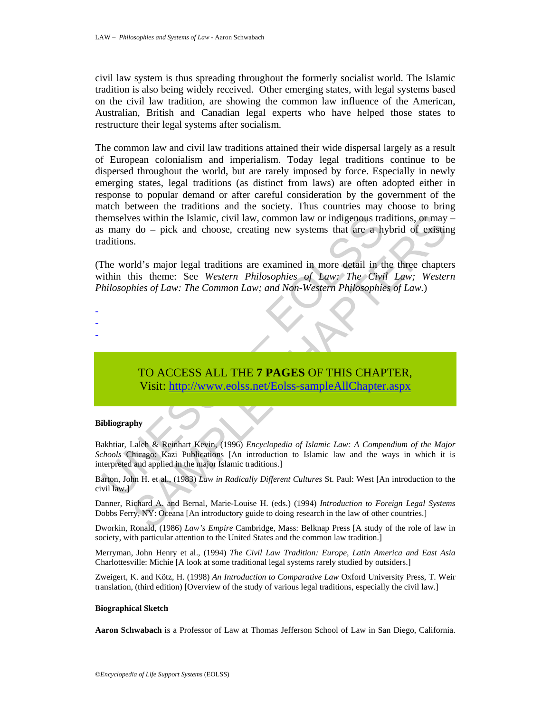civil law system is thus spreading throughout the formerly socialist world. The Islamic tradition is also being widely received. Other emerging states, with legal systems based on the civil law tradition, are showing the common law influence of the American, Australian, British and Canadian legal experts who have helped those states to restructure their legal systems after socialism.

nemselves within the Islamic, civil law, common law or indigenous transm do – pick and choose, creating new systems that are a hypotitions.<br>
The world's major legal traditions are examined in more detail in the world's maj es within the Islamic, civil law, common law or indigenous traditions, or may<br>
do – pick and choose, creating new systems that are a hybrid of existin<br>
s.<br>
S.<br>
Hd's major legal traditions are examined in more defail in the The common law and civil law traditions attained their wide dispersal largely as a result of European colonialism and imperialism. Today legal traditions continue to be dispersed throughout the world, but are rarely imposed by force. Especially in newly emerging states, legal traditions (as distinct from laws) are often adopted either in response to popular demand or after careful consideration by the government of the match between the traditions and the society. Thus countries may choose to bring themselves within the Islamic, civil law, common law or indigenous traditions, or may – as many do – pick and choose, creating new systems that are a hybrid of existing traditions.

(The world's major legal traditions are examined in more detail in the three chapters within this theme: See *Western Philosophies of Law: The Civil Law; Western Philosophies of Law: The Common Law; and Non-Western Philosophies of Law.*)

# TO ACCESS ALL THE **7 PAGES** OF THIS CHAPTER, Visit: http://www.eolss.net/Eolss-sampleAllChapter.aspx

### **Bibliography**

- - -

Bakhtiar, Laleh & Reinhart Kevin, (1996) *Encyclopedia of Islamic Law: A Compendium of the Major Schools* Chicago: Kazi Publications [An introduction to Islamic law and the ways in which it is interpreted and applied in the major Islamic traditions.]

Barton, John H. et al., (1983) *Law in Radically Different Cultures* St. Paul: West [An introduction to the civil law.]

Danner, Richard A. and Bernal, Marie-Louise H. (eds.) (1994) *Introduction to Foreign Legal Systems* Dobbs Ferry, NY: Oceana [An introductory guide to doing research in the law of other countries.]

Dworkin, Ronald, (1986) *Law's Empire* Cambridge, Mass: Belknap Press [A study of the role of law in society, with particular attention to the United States and the common law tradition.]

Merryman, John Henry et al., (1994) *The Civil Law Tradition: Europe, Latin America and East Asia* Charlottesville: Michie [A look at some traditional legal systems rarely studied by outsiders.]

Zweigert, K. and Kötz, H. (1998) *An Introduction to Comparative Law* Oxford University Press, T. Weir translation, (third edition) [Overview of the study of various legal traditions, especially the civil law.]

#### **Biographical Sketch**

**Aaron Schwabach** is a Professor of Law at Thomas Jefferson School of Law in San Diego, California.